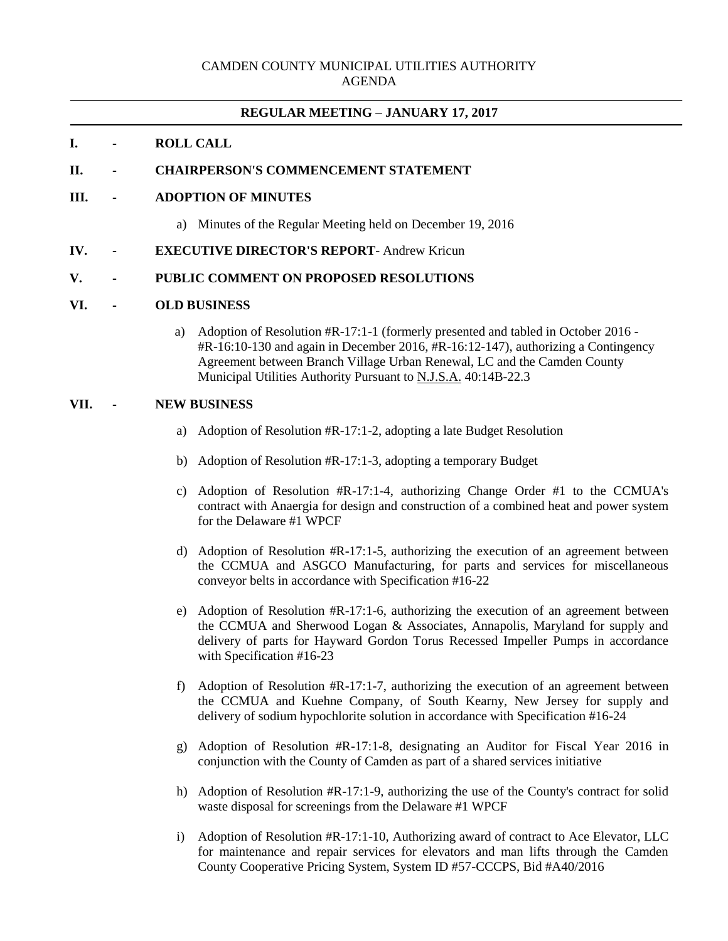### **REGULAR MEETING – JANUARY 17, 2017**

# **I. - ROLL CALL**

#### **II. - CHAIRPERSON'S COMMENCEMENT STATEMENT**

### **III. - ADOPTION OF MINUTES**

- a) Minutes of the Regular Meeting held on December 19, 2016
- **IV. - EXECUTIVE DIRECTOR'S REPORT** Andrew Kricun

# **V. - PUBLIC COMMENT ON PROPOSED RESOLUTIONS**

#### **VI. - OLD BUSINESS**

a) Adoption of Resolution #R-17:1-1 (formerly presented and tabled in October 2016 - #R-16:10-130 and again in December 2016, #R-16:12-147), authorizing a Contingency Agreement between Branch Village Urban Renewal, LC and the Camden County Municipal Utilities Authority Pursuant to N.J.S.A. 40:14B-22.3

#### **VII. - NEW BUSINESS**

- a) Adoption of Resolution #R-17:1-2, adopting a late Budget Resolution
- b) Adoption of Resolution #R-17:1-3, adopting a temporary Budget
- c) Adoption of Resolution #R-17:1-4, authorizing Change Order #1 to the CCMUA's contract with Anaergia for design and construction of a combined heat and power system for the Delaware #1 WPCF
- d) Adoption of Resolution #R-17:1-5, authorizing the execution of an agreement between the CCMUA and ASGCO Manufacturing, for parts and services for miscellaneous conveyor belts in accordance with Specification #16-22
- e) Adoption of Resolution #R-17:1-6, authorizing the execution of an agreement between the CCMUA and Sherwood Logan & Associates, Annapolis, Maryland for supply and delivery of parts for Hayward Gordon Torus Recessed Impeller Pumps in accordance with Specification #16-23
- f) Adoption of Resolution #R-17:1-7, authorizing the execution of an agreement between the CCMUA and Kuehne Company, of South Kearny, New Jersey for supply and delivery of sodium hypochlorite solution in accordance with Specification #16-24
- g) Adoption of Resolution #R-17:1-8, designating an Auditor for Fiscal Year 2016 in conjunction with the County of Camden as part of a shared services initiative
- h) Adoption of Resolution #R-17:1-9, authorizing the use of the County's contract for solid waste disposal for screenings from the Delaware #1 WPCF
- i) Adoption of Resolution #R-17:1-10, Authorizing award of contract to Ace Elevator, LLC for maintenance and repair services for elevators and man lifts through the Camden County Cooperative Pricing System, System ID #57-CCCPS, Bid #A40/2016